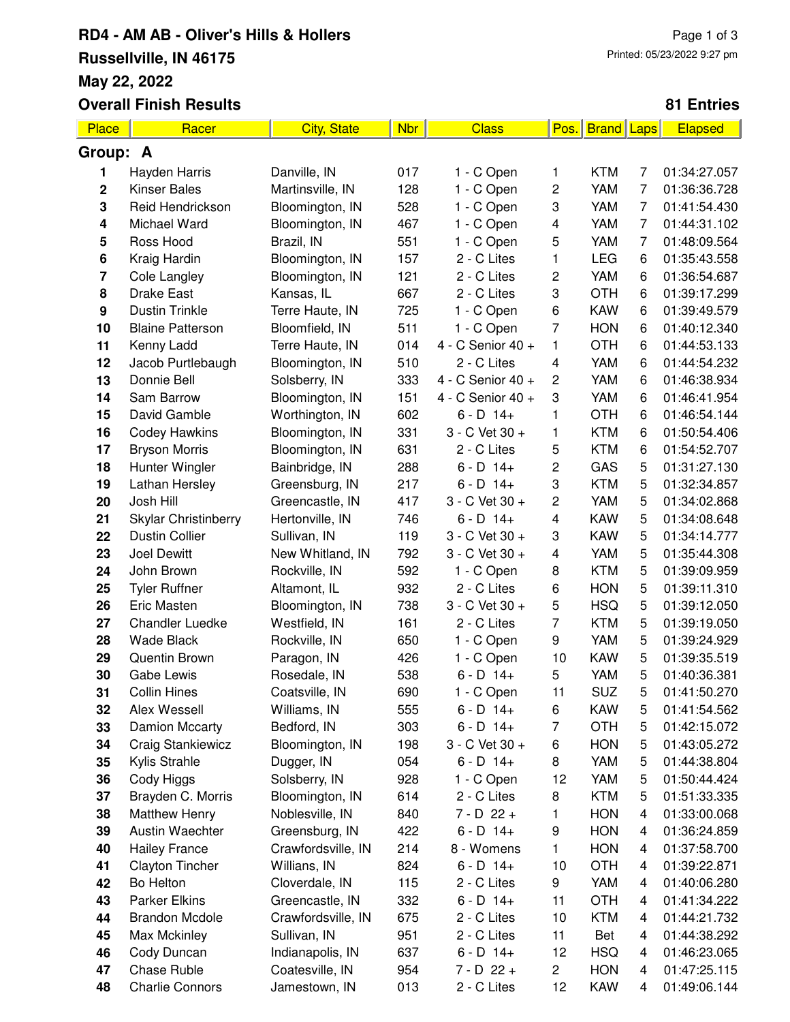# **RD4 - AM AB - Oliver's Hills & Hollers Russellville, IN 46175 May 22, 2022 Overall Finish Results**

# Page 1 of 3 Printed: 05/23/2022 9:27 pm

#### **81 Entries**

| Place       | Racer                    | <b>City, State</b> | <b>Nbr</b> | <b>Class</b>      | Pos.           | <b>Brand Laps</b> |                | <b>Elapsed</b> |
|-------------|--------------------------|--------------------|------------|-------------------|----------------|-------------------|----------------|----------------|
| Group: A    |                          |                    |            |                   |                |                   |                |                |
| 1           | Hayden Harris            | Danville, IN       | 017        | 1 - C Open        | 1              | <b>KTM</b>        | 7              | 01:34:27.057   |
| $\mathbf 2$ | <b>Kinser Bales</b>      | Martinsville, IN   | 128        | 1 - C Open        | 2              | YAM               | 7              | 01:36:36.728   |
| 3           | Reid Hendrickson         | Bloomington, IN    | 528        | 1 - C Open        | 3              | YAM               | 7              | 01:41:54.430   |
| 4           | Michael Ward             | Bloomington, IN    | 467        | 1 - C Open        | 4              | YAM               | $\overline{7}$ | 01:44:31.102   |
| 5           | Ross Hood                | Brazil, IN         | 551        | 1 - C Open        | 5              | YAM               | 7              | 01:48:09.564   |
| 6           | Kraig Hardin             | Bloomington, IN    | 157        | 2 - C Lites       | 1              | <b>LEG</b>        | 6              | 01:35:43.558   |
| 7           | Cole Langley             | Bloomington, IN    | 121        | 2 - C Lites       | 2              | YAM               | 6              | 01:36:54.687   |
| 8           | <b>Drake East</b>        | Kansas, IL         | 667        | 2 - C Lites       | 3              | <b>OTH</b>        | 6              | 01:39:17.299   |
| 9           | <b>Dustin Trinkle</b>    | Terre Haute, IN    | 725        | 1 - C Open        | 6              | <b>KAW</b>        | 6              | 01:39:49.579   |
| 10          | <b>Blaine Patterson</b>  | Bloomfield, IN     | 511        | 1 - C Open        | 7              | <b>HON</b>        | 6              | 01:40:12.340   |
| 11          | Kenny Ladd               | Terre Haute, IN    | 014        | 4 - C Senior 40 + | 1              | <b>OTH</b>        | 6              | 01:44:53.133   |
| 12          | Jacob Purtlebaugh        | Bloomington, IN    | 510        | 2 - C Lites       | 4              | YAM               | 6              | 01:44:54.232   |
| 13          | Donnie Bell              | Solsberry, IN      | 333        | 4 - C Senior 40 + | 2              | YAM               | 6              | 01:46:38.934   |
| 14          | Sam Barrow               | Bloomington, IN    | 151        | 4 - C Senior 40 + | 3              | YAM               | 6              | 01:46:41.954   |
| 15          | David Gamble             | Worthington, IN    | 602        | $6 - D$ 14+       | 1              | <b>OTH</b>        | 6              | 01:46:54.144   |
| 16          | <b>Codey Hawkins</b>     | Bloomington, IN    | 331        | 3 - C Vet 30 +    | 1              | <b>KTM</b>        | 6              | 01:50:54.406   |
| 17          | <b>Bryson Morris</b>     | Bloomington, IN    | 631        | 2 - C Lites       | 5              | <b>KTM</b>        | 6              | 01:54:52.707   |
| 18          | Hunter Wingler           | Bainbridge, IN     | 288        | $6 - D$ 14+       | 2              | GAS               | 5              | 01:31:27.130   |
| 19          | Lathan Hersley           | Greensburg, IN     | 217        | $6 - D$ 14+       | 3              | <b>KTM</b>        | 5              | 01:32:34.857   |
| 20          | Josh Hill                | Greencastle, IN    | 417        | 3 - C Vet 30 +    | 2              | YAM               | 5              | 01:34:02.868   |
| 21          | Skylar Christinberry     | Hertonville, IN    | 746        | $6 - D$ 14+       | 4              | <b>KAW</b>        | 5              | 01:34:08.648   |
| 22          | <b>Dustin Collier</b>    | Sullivan, IN       | 119        | 3 - C Vet 30 +    | 3              | <b>KAW</b>        | 5              | 01:34:14.777   |
| 23          | <b>Joel Dewitt</b>       | New Whitland, IN   | 792        | 3 - C Vet 30 +    | 4              | YAM               | 5              | 01:35:44.308   |
| 24          | John Brown               | Rockville, IN      | 592        | 1 - C Open        | 8              | <b>KTM</b>        | 5              | 01:39:09.959   |
| 25          | <b>Tyler Ruffner</b>     | Altamont, IL       | 932        | 2 - C Lites       | 6              | <b>HON</b>        | 5              | 01:39:11.310   |
| 26          | <b>Eric Masten</b>       | Bloomington, IN    | 738        | 3 - C Vet 30 +    | 5              | <b>HSQ</b>        | 5              | 01:39:12.050   |
| 27          | <b>Chandler Luedke</b>   | Westfield, IN      | 161        | 2 - C Lites       | $\overline{7}$ | <b>KTM</b>        | 5              | 01:39:19.050   |
| 28          | <b>Wade Black</b>        | Rockville, IN      | 650        | 1 - C Open        | 9              | YAM               | 5              | 01:39:24.929   |
| 29          | Quentin Brown            | Paragon, IN        | 426        | 1 - C Open        | 10             | <b>KAW</b>        | 5              | 01:39:35.519   |
| 30          | Gabe Lewis               | Rosedale, IN       | 538        | $6 - D$ 14+       | 5              | YAM               | 5              | 01:40:36.381   |
| 31          | <b>Collin Hines</b>      | Coatsville, IN     | 690        | 1 - C Open        | 11             | <b>SUZ</b>        | 5              | 01:41:50.270   |
| 32          | Alex Wessell             | Williams, IN       | 555        | $6 - D$ 14+       | 6              | <b>KAW</b>        | 5              | 01:41:54.562   |
| 33          | Damion Mccarty           | Bedford, IN        | 303        | $6 - D$ 14+       | 7              | <b>OTH</b>        | 5              | 01:42:15.072   |
| 34          | <b>Craig Stankiewicz</b> | Bloomington, IN    | 198        | 3 - C Vet 30 +    | 6              | <b>HON</b>        | 5              | 01:43:05.272   |
| 35          | Kylis Strahle            | Dugger, IN         | 054        | $6 - D$ 14+       | 8              | YAM               | 5              | 01:44:38.804   |
| 36          | Cody Higgs               | Solsberry, IN      | 928        | 1 - C Open        | 12             | YAM               | 5              | 01:50:44.424   |
| 37          | Brayden C. Morris        | Bloomington, IN    | 614        | 2 - C Lites       | 8              | <b>KTM</b>        | 5              | 01:51:33.335   |
| 38          | <b>Matthew Henry</b>     | Noblesville, IN    | 840        | $7 - D$ 22 +      | 1              | <b>HON</b>        | 4              | 01:33:00.068   |
| 39          | Austin Waechter          | Greensburg, IN     | 422        | $6 - D$ 14+       | 9              | <b>HON</b>        | 4              | 01:36:24.859   |
| 40          | <b>Hailey France</b>     | Crawfordsville, IN | 214        | 8 - Womens        | 1              | <b>HON</b>        | 4              | 01:37:58.700   |
| 41          | Clayton Tincher          | Willians, IN       | 824        | $6 - D$ 14+       | 10             | <b>OTH</b>        | 4              | 01:39:22.871   |
| 42          | Bo Helton                | Cloverdale, IN     | 115        | 2 - C Lites       | 9              | YAM               | 4              | 01:40:06.280   |
| 43          | Parker Elkins            | Greencastle, IN    | 332        | $6 - D$ 14+       | 11             | <b>OTH</b>        | 4              | 01:41:34.222   |
| 44          | <b>Brandon Mcdole</b>    | Crawfordsville, IN | 675        | 2 - C Lites       | 10             | <b>KTM</b>        | 4              | 01:44:21.732   |
| 45          | Max Mckinley             | Sullivan, IN       | 951        | 2 - C Lites       | 11             | Bet               | 4              | 01:44:38.292   |
| 46          | Cody Duncan              | Indianapolis, IN   | 637        | $6 - D$ 14+       | 12             | <b>HSQ</b>        | 4              | 01:46:23.065   |
| 47          | Chase Ruble              | Coatesville, IN    | 954        | $7 - D$ 22 +      | $\overline{c}$ | <b>HON</b>        | 4              | 01:47:25.115   |
| 48          | <b>Charlie Connors</b>   | Jamestown, IN      | 013        | 2 - C Lites       | 12             | <b>KAW</b>        | 4              | 01:49:06.144   |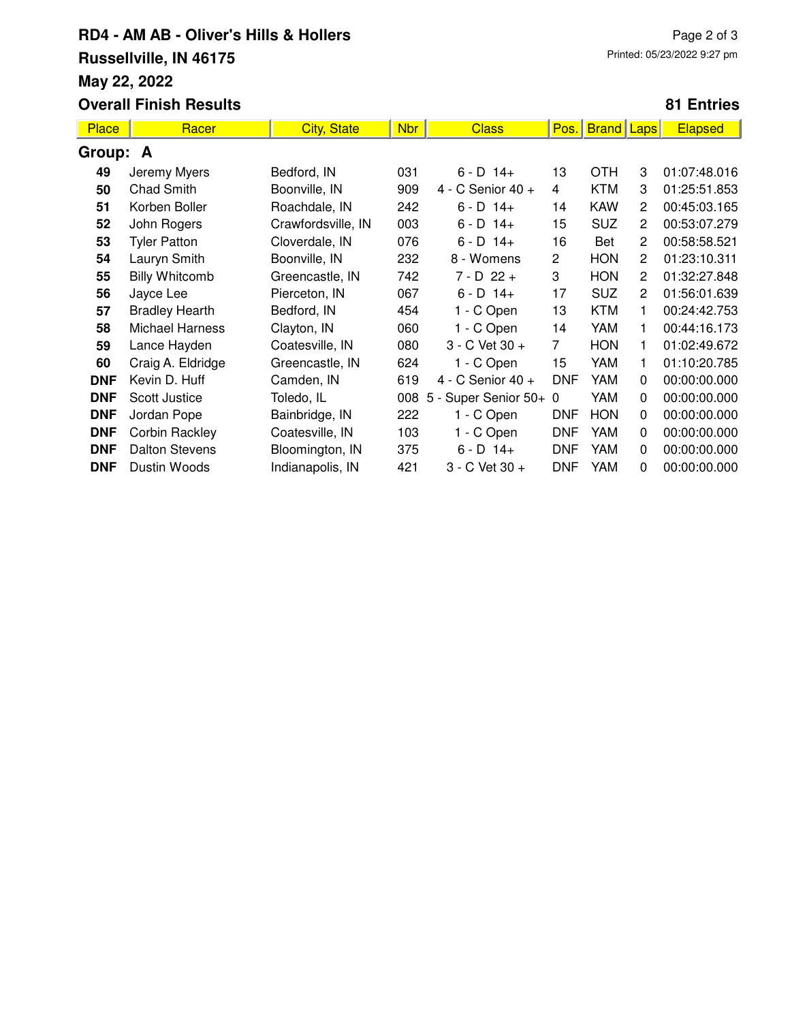# **RD4 - AM AB - Oliver's Hills & Hollers Russellville, IN 46175 May 22, 2022 Overall Finish Results**

#### **81 Entries**

| <b>Place</b> | Racer                  | <b>City, State</b> | <b>Nbr</b> | <b>Class</b>         | Pos.           | <b>Brand Laps</b> |                | <b>Elapsed</b> |
|--------------|------------------------|--------------------|------------|----------------------|----------------|-------------------|----------------|----------------|
| Group: A     |                        |                    |            |                      |                |                   |                |                |
| 49           | Jeremy Myers           | Bedford, IN        | 031        | $6 - D$ 14+          | 13             | <b>OTH</b>        | 3              | 01:07:48.016   |
| 50           | Chad Smith             | Boonville, IN      | 909        | 4 - C Senior 40 +    | 4              | <b>KTM</b>        | 3              | 01:25:51.853   |
| 51           | Korben Boller          | Roachdale, IN      | 242        | $6 - D$ 14+          | 14             | <b>KAW</b>        | 2              | 00:45:03.165   |
| 52           | John Rogers            | Crawfordsville, IN | 003        | $6 - D$ 14+          | 15             | <b>SUZ</b>        | $\overline{2}$ | 00:53:07.279   |
| 53           | <b>Tyler Patton</b>    | Cloverdale, IN     | 076        | $6 - D$ 14+          | 16             | Bet               | 2              | 00:58:58.521   |
| 54           | Lauryn Smith           | Boonville, IN      | 232        | 8 - Womens           | 2              | <b>HON</b>        | $\mathbf{2}$   | 01:23:10.311   |
| 55           | <b>Billy Whitcomb</b>  | Greencastle, IN    | 742        | $7 - D 22 +$         | 3              | <b>HON</b>        | $\overline{2}$ | 01:32:27.848   |
| 56           | Jayce Lee              | Pierceton, IN      | 067        | $6 - D$ 14+          | 17             | <b>SUZ</b>        | 2              | 01:56:01.639   |
| 57           | <b>Bradley Hearth</b>  | Bedford, IN        | 454        | 1 - C Open           | 13             | <b>KTM</b>        | 1              | 00:24:42.753   |
| 58           | <b>Michael Harness</b> | Clayton, IN        | 060        | 1 - C Open           | 14             | YAM               | 1              | 00:44:16.173   |
| 59           | Lance Hayden           | Coatesville, IN    | 080        | 3 - C Vet 30 +       | $\overline{7}$ | <b>HON</b>        | 1              | 01:02:49.672   |
| 60           | Craig A. Eldridge      | Greencastle, IN    | 624        | 1 - C Open           | 15             | YAM               | 1              | 01:10:20.785   |
| <b>DNF</b>   | Kevin D. Huff          | Camden, IN         | 619        | 4 - C Senior 40 +    | <b>DNF</b>     | YAM               | 0              | 00:00:00.000   |
| <b>DNF</b>   | <b>Scott Justice</b>   | Toledo, IL         | 008        | 5 - Super Senior 50+ | 0              | YAM               | 0              | 00:00:00.000   |
| <b>DNF</b>   | Jordan Pope            | Bainbridge, IN     | 222        | 1 - C Open           | <b>DNF</b>     | <b>HON</b>        | $\mathbf 0$    | 00:00:00.000   |
| <b>DNF</b>   | Corbin Rackley         | Coatesville, IN    | 103        | 1 - C Open           | <b>DNF</b>     | YAM               | 0              | 00:00:00.000   |
| <b>DNF</b>   | <b>Dalton Stevens</b>  | Bloomington, IN    | 375        | $6 - D$ 14+          | <b>DNF</b>     | YAM               | 0              | 00:00:00.000   |
| <b>DNF</b>   | Dustin Woods           | Indianapolis, IN   | 421        | 3 - C Vet 30 +       | <b>DNF</b>     | YAM               | 0              | 00:00:00.000   |